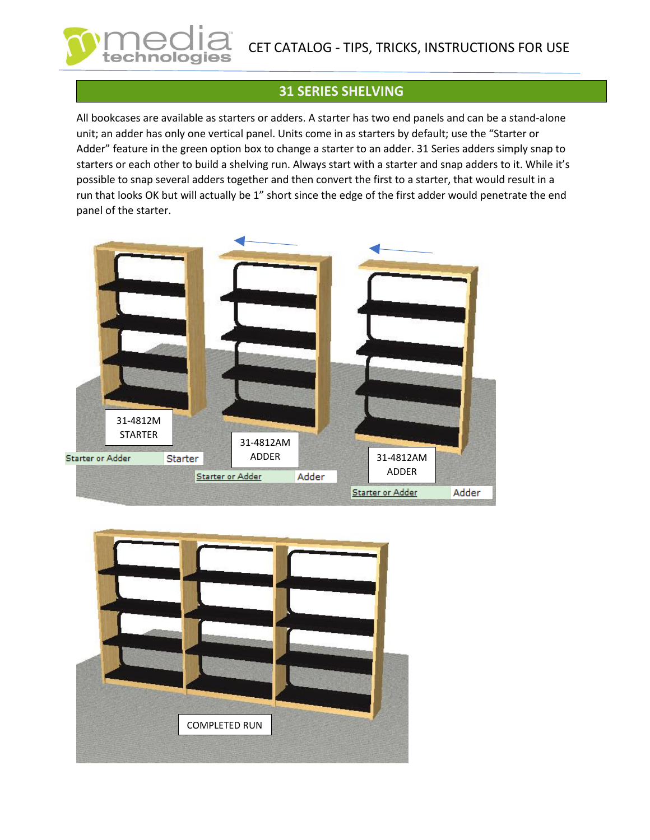## **31 SERIES SHELVING**

All bookcases are available as starters or adders. A starter has two end panels and can be a stand-alone unit; an adder has only one vertical panel. Units come in as starters by default; use the "Starter or Adder" feature in the green option box to change a starter to an adder. 31 Series adders simply snap to starters or each other to build a shelving run. Always start with a starter and snap adders to it. While it's possible to snap several adders together and then convert the first to a starter, that would result in a run that looks OK but will actually be 1" short since the edge of the first adder would penetrate the end panel of the starter.